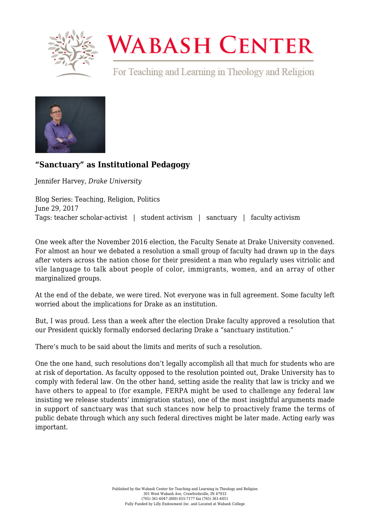

## **WABASH CENTER**

For Teaching and Learning in Theology and Religion



## **["Sanctuary" as Institutional Pedagogy](https://www.wabashcenter.wabash.edu/2017/06/sanctuary-institutional-pedagogy/)**

Jennifer Harvey, *Drake University*

Blog Series: Teaching, Religion, Politics June 29, 2017 Tags: teacher scholar-activist | student activism | sanctuary | faculty activism

One week after the November 2016 election, the Faculty Senate at Drake University convened. For almost an hour we debated a resolution a small group of faculty had drawn up in the days after voters across the nation chose for their president a man who regularly uses vitriolic and vile language to talk about people of color, immigrants, women, and an array of other marginalized groups.

At the end of the debate, we were tired. Not everyone was in full agreement. Some faculty left worried about the implications for Drake as an institution.

But, I was proud. Less than a week after the election [Drake faculty approved a resolution that](http://cbs2iowa.com/news/local/drake-university-president-declares-institution-a-sanctuary-campus) [our President quickly formally endorsed declaring Drake a "sanctuary institution."](http://cbs2iowa.com/news/local/drake-university-president-declares-institution-a-sanctuary-campus)

There's much to be said about the limits and merits of such a resolution.

One the one hand, such resolutions don't legally accomplish all that much for students who are at risk of deportation. As faculty opposed to the resolution pointed out, Drake University has to comply with federal law. On the other hand, setting aside the reality that law is tricky and we have others to appeal to (for example, FERPA might be used to challenge any federal law insisting we release students' immigration status), one of the most insightful arguments made in support of sanctuary was that such stances now help to proactively frame the terms of public debate through which any such federal directives might be later made. Acting early was important.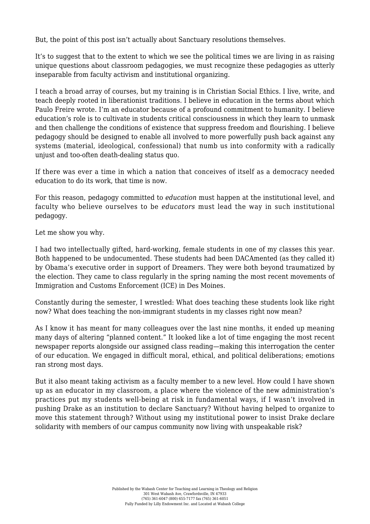But, the point of this post isn't actually about Sanctuary resolutions themselves.

It's to suggest that to the extent to which we see the political times we are living in as raising unique questions about classroom pedagogies, we must recognize these pedagogies as utterly inseparable from faculty activism and institutional organizing.

I teach a broad array of courses, but my training is in Christian Social Ethics. I live, write, and teach deeply rooted in liberationist traditions. I believe in education in the terms about which Paulo Freire wrote. I'm an educator because of a profound commitment to humanity. I believe education's role is to cultivate in students critical consciousness in which they learn to unmask and then challenge the conditions of existence that suppress freedom and flourishing. I believe pedagogy should be designed to enable all involved to more powerfully push back against any systems (material, ideological, confessional) that numb us into conformity with a radically unjust and too-often death-dealing status quo.

If there was ever a time in which a nation that conceives of itself as a democracy needed education to do its work, that time is now.

For this reason, pedagogy committed to *education* must happen at the institutional level, and faculty who believe ourselves to be *educators* must lead the way in such institutional pedagogy.

Let me show you why.

I had two intellectually gifted, hard-working, female students in one of my classes this year. Both happened to be undocumented. These students had been DACAmented (as they called it) by Obama's executive order in support of Dreamers. They were both beyond traumatized by the election. They came to class regularly in the spring naming the most recent movements of Immigration and Customs Enforcement (ICE) in Des Moines.

Constantly during the semester, I wrestled: What does teaching these students look like right now? What does teaching the non-immigrant students in my classes right now mean?

As I know it has meant for many colleagues over the last nine months, it ended up meaning many days of altering "planned content." It looked like a lot of time engaging the most recent newspaper reports alongside our assigned class reading—making this interrogation the center of our education. We engaged in difficult moral, ethical, and political deliberations; emotions ran strong most days.

But it also meant taking activism as a faculty member to a new level. How could I have shown up as an educator in my classroom, a place where the violence of the new administration's practices put my students well-being at risk in fundamental ways, if I wasn't involved in pushing Drake as an institution to declare Sanctuary? Without having helped to organize to move this statement through? Without using my institutional power to insist Drake declare solidarity with members of our campus community now living with unspeakable risk?